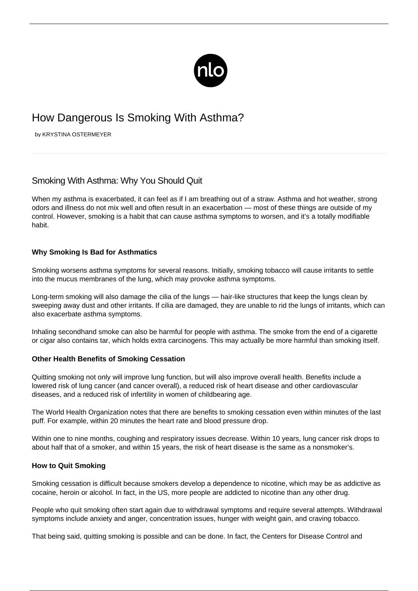

# How Dangerous Is Smoking With Asthma?

by KRYSTINA OSTERMEYER

# Smoking With Asthma: Why You Should Quit

When my asthma is exacerbated, it can feel as if I am breathing out of a straw. [Asthma and hot weather,](/coping-with-asthma-in-hot-and-humid-weather/) strong odors and illness do not mix well and often result in an exacerbation — most of these things are outside of my control. However, smoking is a habit that can cause asthma symptoms to worsen, and it's a totally modifiable habit.

## **Why Smoking Is Bad for Asthmatics**

Smoking worsens asthma symptoms for several reasons. Initially, smoking tobacco will cause irritants to settle into the mucus membranes of the lung, which may provoke asthma symptoms.

Long-term smoking will also damage the cilia of the lungs — hair-like structures that keep the lungs clean by sweeping away dust and other irritants. If cilia are damaged, they are unable to rid the lungs of irritants, which can also exacerbate asthma symptoms.

Inhaling secondhand smoke can also be harmful for people with asthma. The smoke from the end of a cigarette or cigar also contains tar, which holds extra carcinogens. This may actually be more harmful than smoking itself.

### **Other Health Benefits of Smoking Cessation**

Quitting smoking not only will improve lung function, but will also improve overall health. Benefits include a lowered risk of lung cancer (and cancer overall), a reduced risk of heart disease and other cardiovascular diseases, and a reduced risk of infertility in women of childbearing age.

The World Health Organization notes that there are benefits to smoking cessation even within minutes of the last puff. For example, within 20 minutes the heart rate and blood pressure drop.

Within one to nine months, coughing and respiratory issues decrease. Within 10 years, lung cancer risk drops to about half that of a smoker, and within 15 years, the risk of heart disease is the same as a nonsmoker's.

### **How to Quit Smoking**

Smoking cessation is difficult because smokers develop a dependence to nicotine, which may be as addictive as cocaine, heroin or alcohol. In fact, in the US, more people are addicted to nicotine than any other drug.

People who quit smoking often start again due to withdrawal symptoms and require several attempts. Withdrawal symptoms include anxiety and anger, concentration issues, hunger with weight gain, and craving tobacco.

That being said, quitting smoking is possible and can be done. In fact, the Centers for Disease Control and